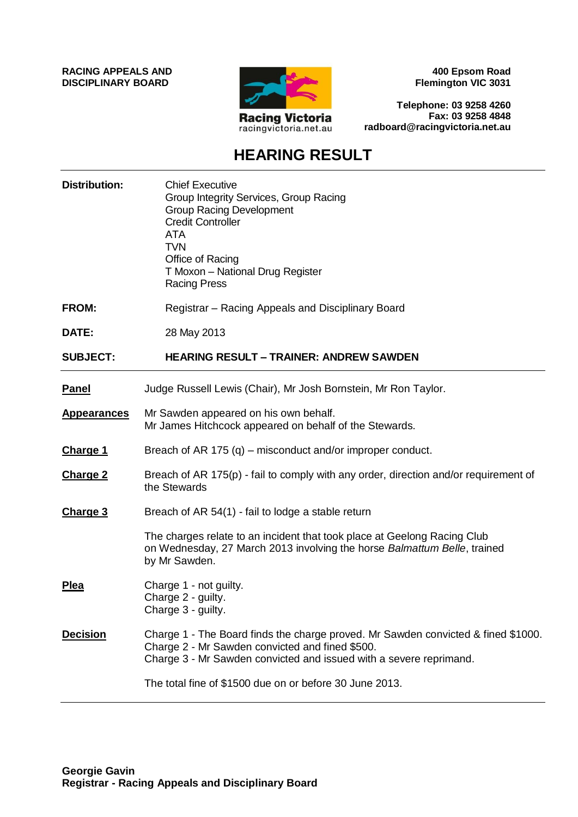**RACING APPEALS AND DISCIPLINARY BOARD**



**400 Epsom Road Flemington VIC 3031**

**Telephone: 03 9258 4260 Fax: 03 9258 4848 radboard@racingvictoria.net.au**

# **HEARING RESULT**

| <b>Distribution:</b> | <b>Chief Executive</b><br>Group Integrity Services, Group Racing<br><b>Group Racing Development</b><br><b>Credit Controller</b><br><b>ATA</b><br><b>TVN</b><br>Office of Racing<br>T Moxon - National Drug Register<br><b>Racing Press</b> |
|----------------------|--------------------------------------------------------------------------------------------------------------------------------------------------------------------------------------------------------------------------------------------|
| <b>FROM:</b>         | Registrar – Racing Appeals and Disciplinary Board                                                                                                                                                                                          |
| DATE:                | 28 May 2013                                                                                                                                                                                                                                |
| <b>SUBJECT:</b>      | <b>HEARING RESULT - TRAINER: ANDREW SAWDEN</b>                                                                                                                                                                                             |
| <b>Panel</b>         | Judge Russell Lewis (Chair), Mr Josh Bornstein, Mr Ron Taylor.                                                                                                                                                                             |
| <b>Appearances</b>   | Mr Sawden appeared on his own behalf.<br>Mr James Hitchcock appeared on behalf of the Stewards.                                                                                                                                            |
| <b>Charge 1</b>      | Breach of AR 175 (q) – misconduct and/or improper conduct.                                                                                                                                                                                 |
| <b>Charge 2</b>      | Breach of AR 175(p) - fail to comply with any order, direction and/or requirement of<br>the Stewards                                                                                                                                       |
| <b>Charge 3</b>      | Breach of AR 54(1) - fail to lodge a stable return                                                                                                                                                                                         |
|                      | The charges relate to an incident that took place at Geelong Racing Club<br>on Wednesday, 27 March 2013 involving the horse Balmattum Belle, trained<br>by Mr Sawden.                                                                      |
| <b>Plea</b>          | Charge 1 - not guilty.<br>Charge 2 - guilty.<br>Charge 3 - guilty.                                                                                                                                                                         |
| <b>Decision</b>      | Charge 1 - The Board finds the charge proved. Mr Sawden convicted & fined \$1000.<br>Charge 2 - Mr Sawden convicted and fined \$500.<br>Charge 3 - Mr Sawden convicted and issued with a severe reprimand.                                 |
|                      | The total fine of \$1500 due on or before 30 June 2013.                                                                                                                                                                                    |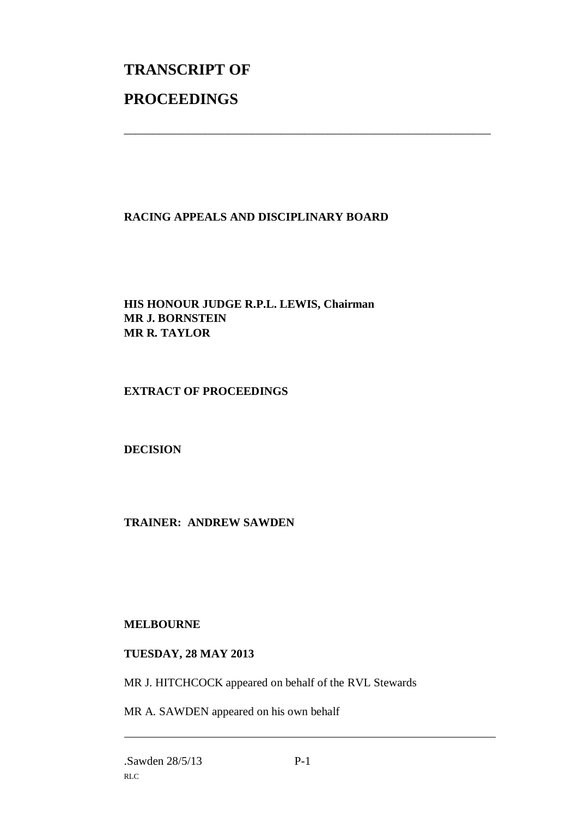# **TRANSCRIPT OF PROCEEDINGS**

## **RACING APPEALS AND DISCIPLINARY BOARD**

\_\_\_\_\_\_\_\_\_\_\_\_\_\_\_\_\_\_\_\_\_\_\_\_\_\_\_\_\_\_\_\_\_\_\_\_\_\_\_\_\_\_\_\_\_\_\_\_\_\_\_\_\_\_\_\_\_\_\_\_\_\_\_

### **HIS HONOUR JUDGE R.P.L. LEWIS, Chairman MR J. BORNSTEIN MR R. TAYLOR**

### **EXTRACT OF PROCEEDINGS**

### **DECISION**

### **TRAINER: ANDREW SAWDEN**

#### **MELBOURNE**

#### **TUESDAY, 28 MAY 2013**

MR J. HITCHCOCK appeared on behalf of the RVL Stewards

MR A. SAWDEN appeared on his own behalf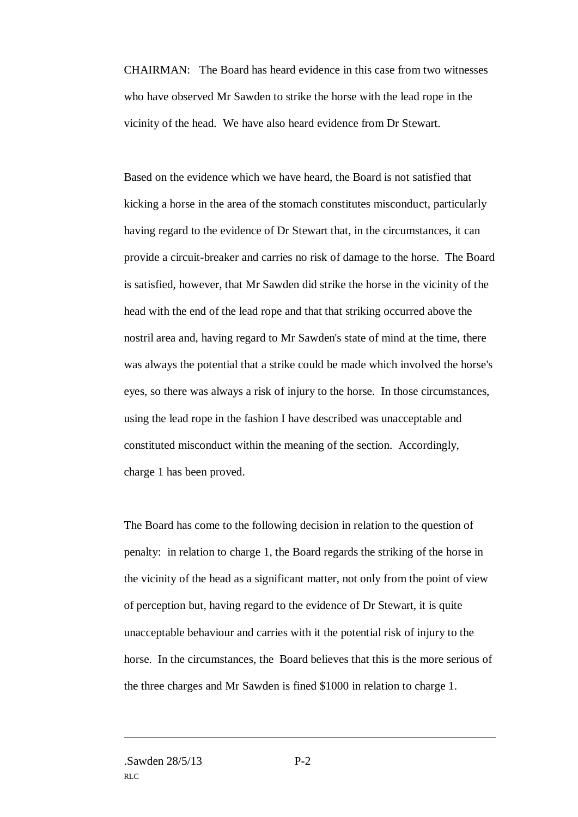CHAIRMAN: The Board has heard evidence in this case from two witnesses who have observed Mr Sawden to strike the horse with the lead rope in the vicinity of the head. We have also heard evidence from Dr Stewart.

Based on the evidence which we have heard, the Board is not satisfied that kicking a horse in the area of the stomach constitutes misconduct, particularly having regard to the evidence of Dr Stewart that, in the circumstances, it can provide a circuit-breaker and carries no risk of damage to the horse. The Board is satisfied, however, that Mr Sawden did strike the horse in the vicinity of the head with the end of the lead rope and that that striking occurred above the nostril area and, having regard to Mr Sawden's state of mind at the time, there was always the potential that a strike could be made which involved the horse's eyes, so there was always a risk of injury to the horse. In those circumstances, using the lead rope in the fashion I have described was unacceptable and constituted misconduct within the meaning of the section. Accordingly, charge 1 has been proved.

The Board has come to the following decision in relation to the question of penalty: in relation to charge 1, the Board regards the striking of the horse in the vicinity of the head as a significant matter, not only from the point of view of perception but, having regard to the evidence of Dr Stewart, it is quite unacceptable behaviour and carries with it the potential risk of injury to the horse. In the circumstances, the Board believes that this is the more serious of the three charges and Mr Sawden is fined \$1000 in relation to charge 1.